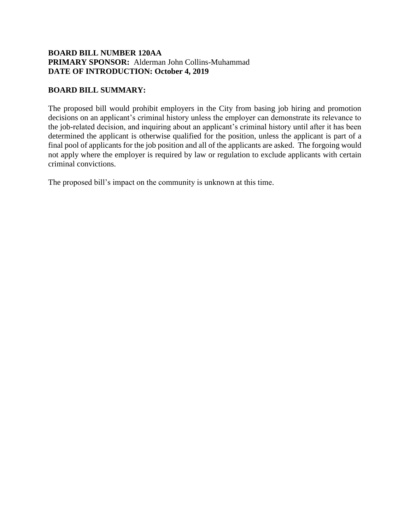## **BOARD BILL NUMBER 120AA PRIMARY SPONSOR:** Alderman John Collins-Muhammad **DATE OF INTRODUCTION: October 4, 2019**

## **BOARD BILL SUMMARY:**

The proposed bill would prohibit employers in the City from basing job hiring and promotion decisions on an applicant's criminal history unless the employer can demonstrate its relevance to the job-related decision, and inquiring about an applicant's criminal history until after it has been determined the applicant is otherwise qualified for the position, unless the applicant is part of a final pool of applicants for the job position and all of the applicants are asked. The forgoing would not apply where the employer is required by law or regulation to exclude applicants with certain criminal convictions.

The proposed bill's impact on the community is unknown at this time.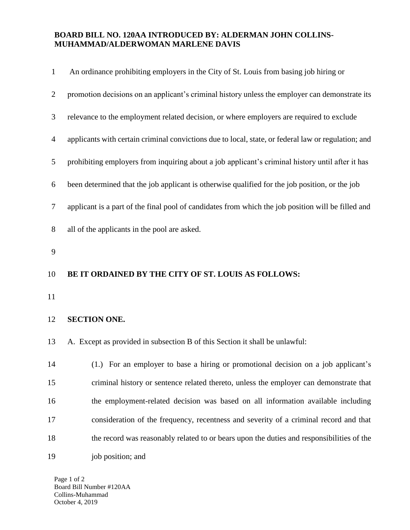## **BOARD BILL NO. 120AA INTRODUCED BY: ALDERMAN JOHN COLLINS-MUHAMMAD/ALDERWOMAN MARLENE DAVIS**

| $\mathbf{1}$   | An ordinance prohibiting employers in the City of St. Louis from basing job hiring or               |
|----------------|-----------------------------------------------------------------------------------------------------|
| $\overline{2}$ | promotion decisions on an applicant's criminal history unless the employer can demonstrate its      |
| 3              | relevance to the employment related decision, or where employers are required to exclude            |
| $\overline{4}$ | applicants with certain criminal convictions due to local, state, or federal law or regulation; and |
| 5              | prohibiting employers from inquiring about a job applicant's criminal history until after it has    |
| 6              | been determined that the job applicant is otherwise qualified for the job position, or the job      |
| 7              | applicant is a part of the final pool of candidates from which the job position will be filled and  |
| 8              | all of the applicants in the pool are asked.                                                        |
| 9              |                                                                                                     |
|                |                                                                                                     |
| 10             | BE IT ORDAINED BY THE CITY OF ST. LOUIS AS FOLLOWS:                                                 |
| 11             |                                                                                                     |
| 12             | <b>SECTION ONE.</b>                                                                                 |
| 13             | A. Except as provided in subsection B of this Section it shall be unlawful:                         |
| 14             | (1.) For an employer to base a hiring or promotional decision on a job applicant's                  |
| 15             | criminal history or sentence related thereto, unless the employer can demonstrate that              |
| 16             | the employment-related decision was based on all information available including                    |
| 17             | consideration of the frequency, recentness and severity of a criminal record and that               |
| 18             | the record was reasonably related to or bears upon the duties and responsibilities of the           |

Page 1 of 2 Board Bill Number #120AA Collins-Muhammad October 4, 2019